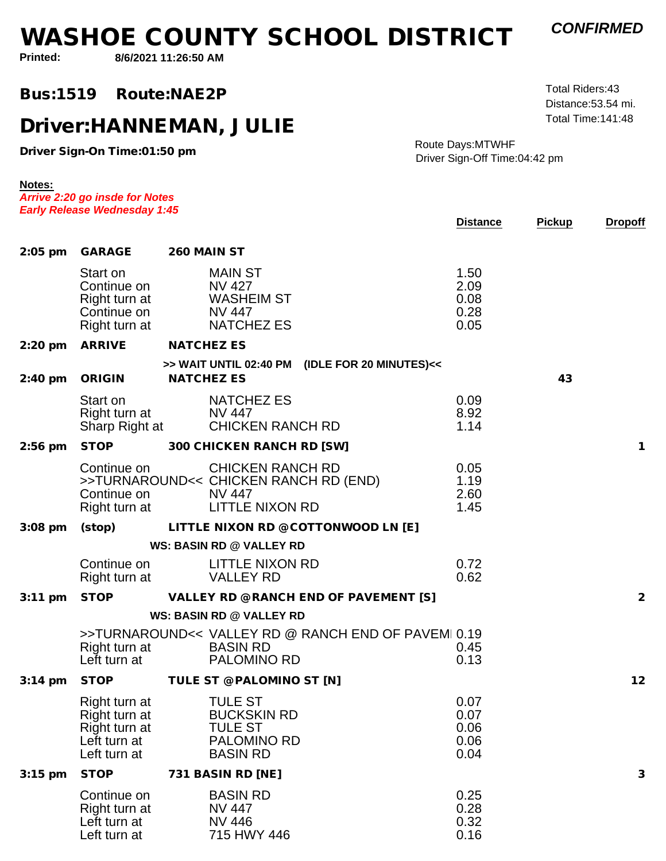## **WASHOE COUNTY SCHOOL DISTRICT**

*CONFIRMED*

 Total Time:141:48 Distance:53.54 mi.Total Riders:43

**Printed:**

**Notes:**

**8/6/2021 11:26:50 AM**

## **Bus:1519Route:NAE2P**

## **Driver:HANNEMAN, JULIE**

**Driver Sign-On Time:01:50 pm**

*Arrive 2:20 go insde for Notes*

Route Days:MTWHFDriver Sign-Off Time:04:42 pm

|                   | <b>Early Release Wednesday 1:45</b>                                             |                                                                                                             |                                                    | <b>Distance</b>                      | <b>Pickup</b> | <b>Dropoff</b> |
|-------------------|---------------------------------------------------------------------------------|-------------------------------------------------------------------------------------------------------------|----------------------------------------------------|--------------------------------------|---------------|----------------|
|                   | 2:05 pm GARAGE                                                                  | 260 MAIN ST                                                                                                 |                                                    |                                      |               |                |
|                   | Start on<br>Continue on<br>Right turn at<br>Continue on<br>Right turn at        | <b>MAIN ST</b><br><b>NV 427</b><br><b>WASHEIM ST</b><br><b>NV 447</b><br><b>NATCHEZ ES</b>                  |                                                    | 1.50<br>2.09<br>0.08<br>0.28<br>0.05 |               |                |
| $2:20$ pm         | ARRIVE                                                                          | <b>NATCHEZ ES</b>                                                                                           |                                                    |                                      |               |                |
| $2:40$ pm         | ORIGIN                                                                          | <b>NATCHEZ ES</b>                                                                                           | >> WAIT UNTIL 02:40 PM (IDLE FOR 20 MINUTES)<<     |                                      | 43            |                |
|                   | Start on<br>Right turn at<br>Sharp Right at                                     | <b>NATCHEZ ES</b><br><b>NV 447</b><br><b>CHICKEN RANCH RD</b>                                               |                                                    | 0.09<br>8.92<br>1.14                 |               |                |
| $2:56$ pm         | <b>STOP</b>                                                                     | 300 CHICKEN RANCH RD [SW]                                                                                   |                                                    |                                      |               | $\mathbf{1}$   |
|                   | Continue on<br>Continue on<br>Right turn at                                     | <b>CHICKEN RANCH RD</b><br>>>TURNAROUND<< CHICKEN RANCH RD (END)<br><b>NV 447</b><br><b>LITTLE NIXON RD</b> |                                                    | 0.05<br>1.19<br>2.60<br>1.45         |               |                |
| $3:08$ pm         | (stop)                                                                          |                                                                                                             | LITTLE NIXON RD @ COTTONWOOD LN [E]                |                                      |               |                |
|                   |                                                                                 | WS: BASIN RD @ VALLEY RD                                                                                    |                                                    |                                      |               |                |
|                   | Continue on<br>Right turn at                                                    | LITTLE NIXON RD<br><b>VALLEY RD</b>                                                                         |                                                    | 0.72<br>0.62                         |               |                |
| 3:11 pm           | <b>STOP</b>                                                                     |                                                                                                             | VALLEY RD @ RANCH END OF PAVEMENT [S]              |                                      |               | $\overline{2}$ |
|                   |                                                                                 | <b>WS: BASIN RD @ VALLEY RD</b>                                                                             |                                                    |                                      |               |                |
|                   | Right turn at<br>Left turn at                                                   | <b>BASIN RD</b><br><b>PALOMINO RD</b>                                                                       | >>TURNAROUND<< VALLEY RD @ RANCH END OF PAVEM 0.19 | 0.45<br>0.13                         |               |                |
| $3:14 \text{ pm}$ | <b>STOP</b>                                                                     | TULE ST @ PALOMINO ST [N]                                                                                   |                                                    |                                      |               | 12             |
|                   | Right turn at<br>Right turn at<br>Right turn at<br>Left turn at<br>Left turn at | <b>TULE ST</b><br><b>BUCKSKIN RD</b><br><b>TULE ST</b><br>PALOMINO RD<br><b>BASIN RD</b>                    |                                                    | 0.07<br>0.07<br>0.06<br>0.06<br>0.04 |               |                |
| $3:15$ pm         | <b>STOP</b>                                                                     | 731 BASIN RD [NE]                                                                                           |                                                    |                                      |               | 3              |
|                   | Continue on<br>Right turn at<br>Left turn at<br>Left turn at                    | <b>BASIN RD</b><br>NV 447<br><b>NV 446</b><br>715 HWY 446                                                   |                                                    | 0.25<br>0.28<br>0.32<br>0.16         |               |                |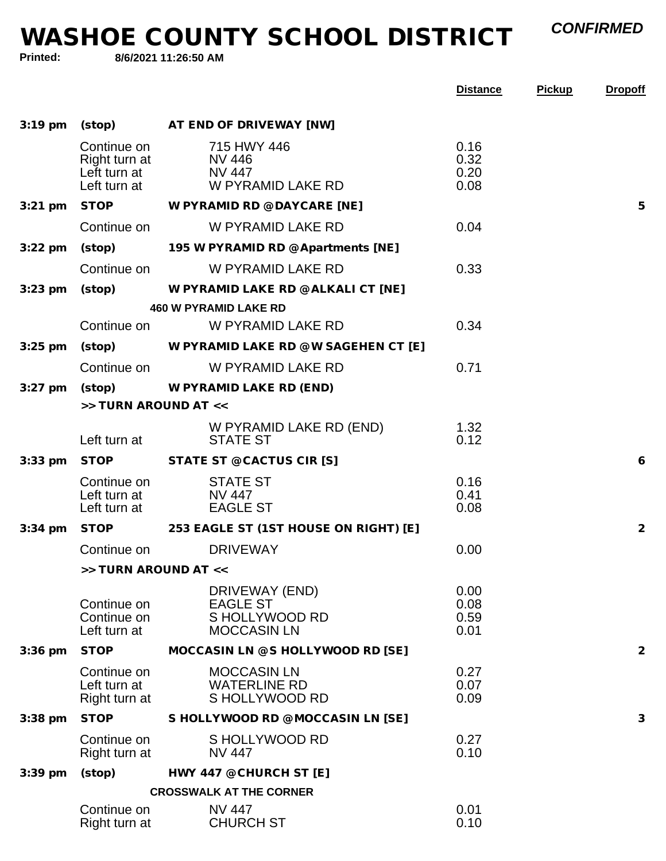*CONFIRMED*

**WASHOE COUNTY SCHOOL DISTRICT**

**Printed:**

**8/6/2021 11:26:50 AM**

|           |                                              |                                                                           | <b>Distance</b>              | <b>Pickup</b> | <b>Dropoff</b> |
|-----------|----------------------------------------------|---------------------------------------------------------------------------|------------------------------|---------------|----------------|
| $3:19$ pm |                                              | (stop) AT END OF DRIVEWAY [NW]                                            |                              |               |                |
|           | Continue on<br>Lett turn at<br>Left turn at  | 715 HWY 446<br>Right turn at NV 446<br>NV 447<br>W PYRAMID LAKE RD        | 0.16<br>0.32<br>0.20<br>0.08 |               |                |
|           |                                              | 3:21 pm STOP W PYRAMID RD @ DAYCARE [NE]                                  |                              |               | 5              |
|           | Continue on                                  | W PYRAMID LAKE RD                                                         | 0.04                         |               |                |
| $3:22$ pm |                                              | (stop) 195 W PYRAMID RD @ Apartments [NE]                                 |                              |               |                |
|           | Continue on                                  | W PYRAMID LAKE RD                                                         | 0.33                         |               |                |
| $3:23$ pm | (stop)                                       | W PYRAMID LAKE RD @ ALKALI CT [NE]                                        |                              |               |                |
|           |                                              | <b>460 W PYRAMID LAKE RD</b>                                              |                              |               |                |
|           | Continue on                                  | W PYRAMID LAKE RD                                                         | 0.34                         |               |                |
| $3:25$ pm |                                              | (stop) W PYRAMID LAKE RD @ W SAGEHEN CT [E]                               |                              |               |                |
|           | Continue on                                  | W PYRAMID LAKE RD                                                         | 0.71                         |               |                |
| $3:27$ pm |                                              | (stop) W PYRAMID LAKE RD (END)                                            |                              |               |                |
|           | >> TURN AROUND AT <<                         |                                                                           |                              |               |                |
|           | Left turn at                                 | W PYRAMID LAKE RD (END)<br><b>STATE ST</b>                                | 1.32<br>0.12                 |               |                |
| $3:33$ pm |                                              | STOP STATE ST @ CACTUS CIR [S]                                            |                              |               | 6              |
|           | Continue on                                  | <b>STATE ST</b><br>Left turn at NV 447<br>Left turn at EAGLE ST           | 0.16<br>0.41<br>0.08         |               |                |
| $3:34$ pm |                                              | STOP 253 EAGLE ST (1ST HOUSE ON RIGHT) [E]                                |                              |               | 2              |
|           | Continue on                                  | <b>DRIVEWAY</b>                                                           | 0.00                         |               |                |
|           | >> TURN AROUND AT <<                         |                                                                           |                              |               |                |
|           | Continue on<br>Continue on<br>Left turn at   | DRIVEWAY (END)<br><b>EAGLE ST</b><br>S HOLLYWOOD RD<br><b>MOCCASIN LN</b> | 0.00<br>0.08<br>0.59<br>0.01 |               |                |
| $3:36$ pm | <b>STOP</b>                                  | MOCCASIN LN @ S HOLLYWOOD RD [SE]                                         |                              |               | $\overline{2}$ |
|           | Continue on<br>Left turn at<br>Right turn at | <b>MOCCASIN LN</b><br><b>WATERLINE RD</b><br>S HOLLYWOOD RD               | 0.27<br>0.07<br>0.09         |               |                |
| $3:38$ pm | <b>STOP</b>                                  | S HOLLYWOOD RD @ MOCCASIN LN [SE]                                         |                              |               | 3              |
|           | Continue on<br>Right turn at                 | S HOLLYWOOD RD<br><b>NV 447</b>                                           | 0.27<br>0.10                 |               |                |
| $3:39$ pm | (stop)                                       | HWY 447 @ CHURCH ST [E]                                                   |                              |               |                |
|           |                                              | <b>CROSSWALK AT THE CORNER</b>                                            |                              |               |                |
|           | Continue on<br>Right turn at                 | <b>NV 447</b><br><b>CHURCH ST</b>                                         | 0.01<br>0.10                 |               |                |